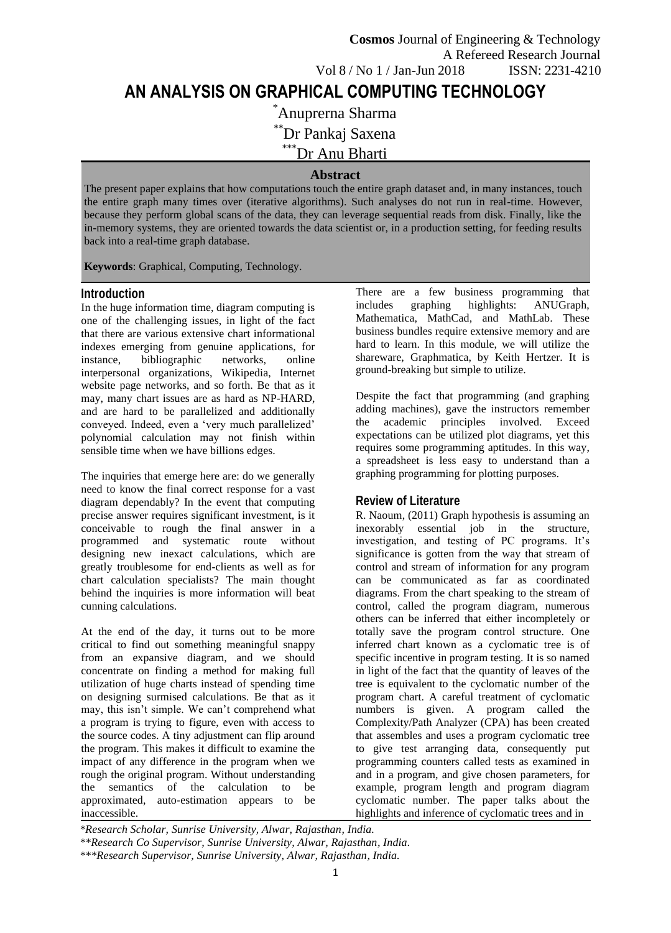# **AN ANALYSIS ON GRAPHICAL COMPUTING TECHNOLOGY**

\*Anuprerna Sharma

\*\*Dr Pankaj Saxena

\*\*\*Dr Anu Bharti

# **Abstract**

The present paper explains that how computations touch the entire graph dataset and, in many instances, touch the entire graph many times over (iterative algorithms). Such analyses do not run in real-time. However, because they perform global scans of the data, they can leverage sequential reads from disk. Finally, like the in-memory systems, they are oriented towards the data scientist or, in a production setting, for feeding results back into a real-time graph database.

**Keywords**: Graphical, Computing, Technology.

#### **Introduction**

In the huge information time, diagram computing is one of the challenging issues, in light of the fact that there are various extensive chart informational indexes emerging from genuine applications, for instance, bibliographic networks, online interpersonal organizations, Wikipedia, Internet website page networks, and so forth. Be that as it may, many chart issues are as hard as NP-HARD, and are hard to be parallelized and additionally conveyed. Indeed, even a 'very much parallelized' polynomial calculation may not finish within sensible time when we have billions edges.

The inquiries that emerge here are: do we generally need to know the final correct response for a vast diagram dependably? In the event that computing precise answer requires significant investment, is it conceivable to rough the final answer in a programmed and systematic route without designing new inexact calculations, which are greatly troublesome for end-clients as well as for chart calculation specialists? The main thought behind the inquiries is more information will beat cunning calculations.

At the end of the day, it turns out to be more critical to find out something meaningful snappy from an expansive diagram, and we should concentrate on finding a method for making full utilization of huge charts instead of spending time on designing surmised calculations. Be that as it may, this isn't simple. We can't comprehend what a program is trying to figure, even with access to the source codes. A tiny adjustment can flip around the program. This makes it difficult to examine the impact of any difference in the program when we rough the original program. Without understanding the semantics of the calculation to be approximated, auto-estimation appears to be inaccessible.

There are a few business programming that includes graphing highlights: ANUGraph, Mathematica, MathCad, and MathLab. These business bundles require extensive memory and are hard to learn. In this module, we will utilize the shareware, Graphmatica, by Keith Hertzer. It is ground-breaking but simple to utilize.

Despite the fact that programming (and graphing adding machines), gave the instructors remember the academic principles involved. Exceed expectations can be utilized plot diagrams, yet this requires some programming aptitudes. In this way, a spreadsheet is less easy to understand than a graphing programming for plotting purposes.

# **Review of Literature**

R. Naoum, (2011) Graph hypothesis is assuming an inexorably essential job in the structure, investigation, and testing of PC programs. It's significance is gotten from the way that stream of control and stream of information for any program can be communicated as far as coordinated diagrams. From the chart speaking to the stream of control, called the program diagram, numerous others can be inferred that either incompletely or totally save the program control structure. One inferred chart known as a cyclomatic tree is of specific incentive in program testing. It is so named in light of the fact that the quantity of leaves of the tree is equivalent to the cyclomatic number of the program chart. A careful treatment of cyclomatic numbers is given. A program called the Complexity/Path Analyzer (CPA) has been created that assembles and uses a program cyclomatic tree to give test arranging data, consequently put programming counters called tests as examined in and in a program, and give chosen parameters, for example, program length and program diagram cyclomatic number. The paper talks about the highlights and inference of cyclomatic trees and in

*\*Research Scholar, Sunrise University, Alwar, Rajasthan, India. \*\*Research Co Supervisor, Sunrise University, Alwar, Rajasthan, India. \*\*\*Research Supervisor, Sunrise University, Alwar, Rajasthan, India.*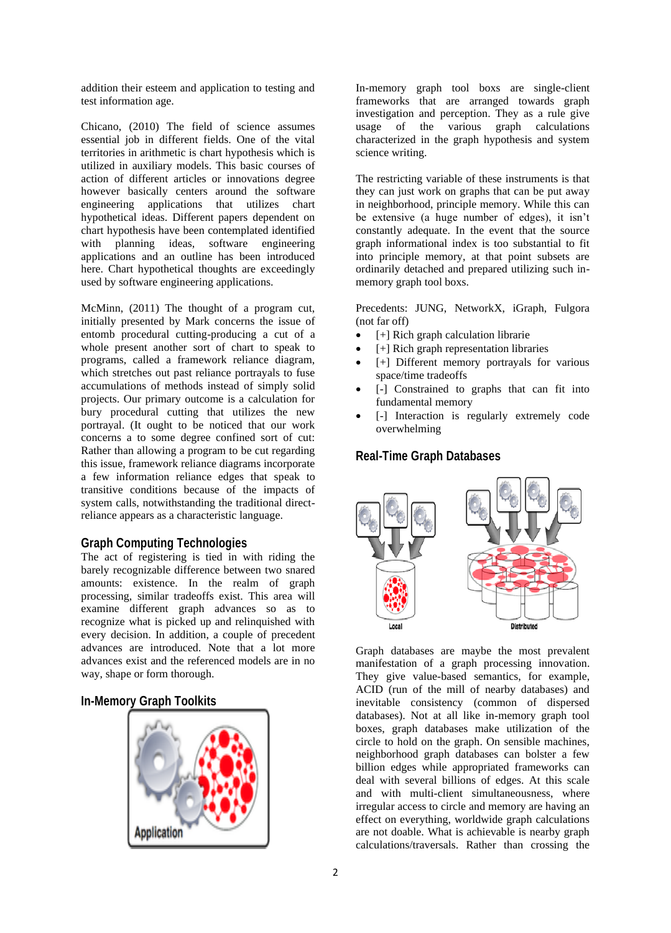addition their esteem and application to testing and test information age.

Chicano, (2010) The field of science assumes essential job in different fields. One of the vital territories in arithmetic is chart hypothesis which is utilized in auxiliary models. This basic courses of action of different articles or innovations degree however basically centers around the software engineering applications that utilizes chart hypothetical ideas. Different papers dependent on chart hypothesis have been contemplated identified with planning ideas, software engineering applications and an outline has been introduced here. Chart hypothetical thoughts are exceedingly used by software engineering applications.

McMinn, (2011) The thought of a program cut, initially presented by Mark concerns the issue of entomb procedural cutting-producing a cut of a whole present another sort of chart to speak to programs, called a framework reliance diagram, which stretches out past reliance portrayals to fuse accumulations of methods instead of simply solid projects. Our primary outcome is a calculation for bury procedural cutting that utilizes the new portrayal. (It ought to be noticed that our work concerns a to some degree confined sort of cut: Rather than allowing a program to be cut regarding this issue, framework reliance diagrams incorporate a few information reliance edges that speak to transitive conditions because of the impacts of system calls, notwithstanding the traditional directreliance appears as a characteristic language.

#### **Graph Computing Technologies**

The act of registering is tied in with riding the barely recognizable difference between two snared amounts: existence. In the realm of graph processing, similar tradeoffs exist. This area will examine different graph advances so as to recognize what is picked up and relinquished with every decision. In addition, a couple of precedent advances are introduced. Note that a lot more advances exist and the referenced models are in no way, shape or form thorough.

## **In-Memory Graph Toolkits**



In-memory graph tool boxs are single-client frameworks that are arranged towards graph investigation and perception. They as a rule give usage of the various graph calculations characterized in the graph hypothesis and system science writing.

The restricting variable of these instruments is that they can just work on graphs that can be put away in neighborhood, principle memory. While this can be extensive (a huge number of edges), it isn't constantly adequate. In the event that the source graph informational index is too substantial to fit into principle memory, at that point subsets are ordinarily detached and prepared utilizing such inmemory graph tool boxs.

Precedents: JUNG, NetworkX, iGraph, Fulgora (not far off)

- [+] Rich graph calculation librarie
- [+] Rich graph representation libraries
- [+] Different memory portrayals for various space/time tradeoffs
- [-] Constrained to graphs that can fit into fundamental memory
- [-] Interaction is regularly extremely code overwhelming

## **Real-Time Graph Databases**



Graph databases are maybe the most prevalent manifestation of a graph processing innovation. They give value-based semantics, for example, ACID (run of the mill of nearby databases) and inevitable consistency (common of dispersed databases). Not at all like in-memory graph tool boxes, graph databases make utilization of the circle to hold on the graph. On sensible machines, neighborhood graph databases can bolster a few billion edges while appropriated frameworks can deal with several billions of edges. At this scale and with multi-client simultaneousness, where irregular access to circle and memory are having an effect on everything, worldwide graph calculations are not doable. What is achievable is nearby graph calculations/traversals. Rather than crossing the